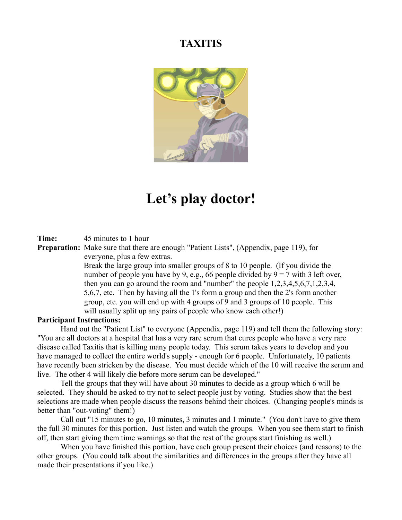## **TAXITIS**



## **Let's play doctor!**

**Time:** 45 minutes to 1 hour

**Preparation:** Make sure that there are enough "Patient Lists", (Appendix, page 119), for everyone, plus a few extras.

> Break the large group into smaller groups of 8 to 10 people. (If you divide the number of people you have by 9, e.g., 66 people divided by  $9 = 7$  with 3 left over, then you can go around the room and "number" the people 1,2,3,4,5,6,7,1,2,3,4, 5,6,7, etc. Then by having all the 1's form a group and then the 2's form another group, etc. you will end up with 4 groups of 9 and 3 groups of 10 people. This will usually split up any pairs of people who know each other!)

## **Participant Instructions:**

Hand out the "Patient List" to everyone (Appendix, page 119) and tell them the following story: "You are all doctors at a hospital that has a very rare serum that cures people who have a very rare disease called Taxitis that is killing many people today. This serum takes years to develop and you have managed to collect the entire world's supply - enough for 6 people. Unfortunately, 10 patients have recently been stricken by the disease. You must decide which of the 10 will receive the serum and live. The other 4 will likely die before more serum can be developed."

Tell the groups that they will have about 30 minutes to decide as a group which 6 will be selected. They should be asked to try not to select people just by voting. Studies show that the best selections are made when people discuss the reasons behind their choices. (Changing people's minds is better than "out-voting" them!)

Call out "15 minutes to go, 10 minutes, 3 minutes and 1 minute." (You don't have to give them the full 30 minutes for this portion. Just listen and watch the groups. When you see them start to finish off, then start giving them time warnings so that the rest of the groups start finishing as well.)

When you have finished this portion, have each group present their choices (and reasons) to the other groups. (You could talk about the similarities and differences in the groups after they have all made their presentations if you like.)